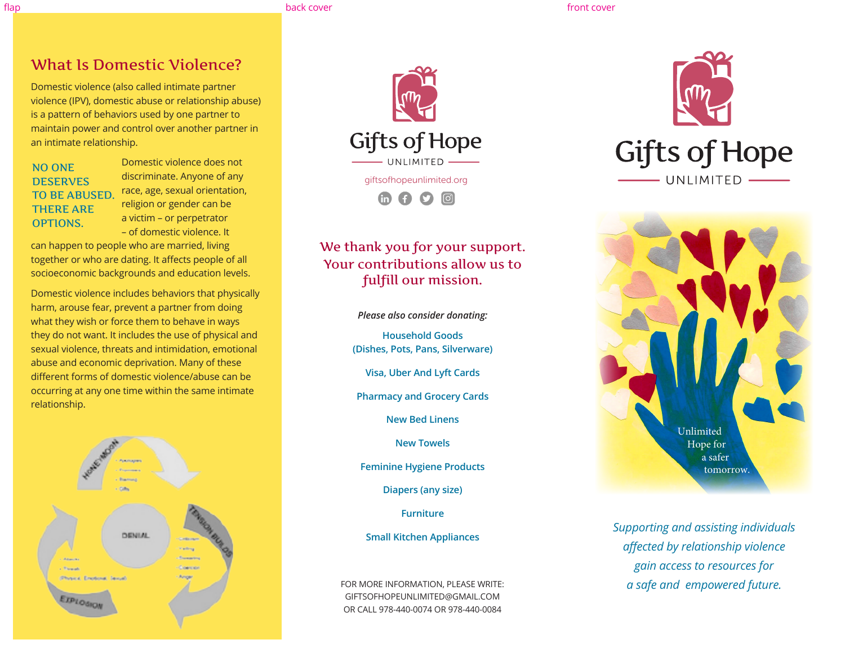flap back cover front cover

# What Is Domestic Violence?

Domestic violence (also called intimate partner violence (IPV), domestic abuse or relationship abuse) is a pattern of behaviors used by one partner to maintain power and control over another partner in an intimate relationship.

## NO ONE **DESERVES** TO BE ABUSED. THERE ARE OPTIONS.

Domestic violence does not discriminate. Anyone of any race, age, sexual orientation, religion or gender can be a victim – or perpetrator – of domestic violence. It

can happen to people who are married, living together or who are dating. It affects people of all socioeconomic backgrounds and education levels.

Domestic violence includes behaviors that physically harm, arouse fear, prevent a partner from doing what they wish or force them to behave in ways they do not want. It includes the use of physical and sexual violence, threats and intimidation, emotional abuse and economic deprivation. Many of these different forms of domestic violence/abuse can be occurring at any one time within the same intimate relationship.





# We thank you for your support. Your contributions allow us to fulfill our mission.

*Please also consider donating:*

**Household Goods (Dishes, Pots, Pans, Silverware)**

**Visa, Uber And Lyft Cards**

**Pharmacy and Grocery Cards**

**New Bed Linens**

**New Towels**

**Feminine Hygiene Products**

**Diapers (any size)**

**Furniture**

**Small Kitchen Appliances**

FOR MORE INFORMATION, PLEASE WRITE: GIFTSOFHOPEUNLIMITED@GMAIL.COM OR CALL 978-440-0074 OR 978-440-0084





*Supporting and assisting individuals affected by relationship violence gain access to resources for a safe and empowered future.*